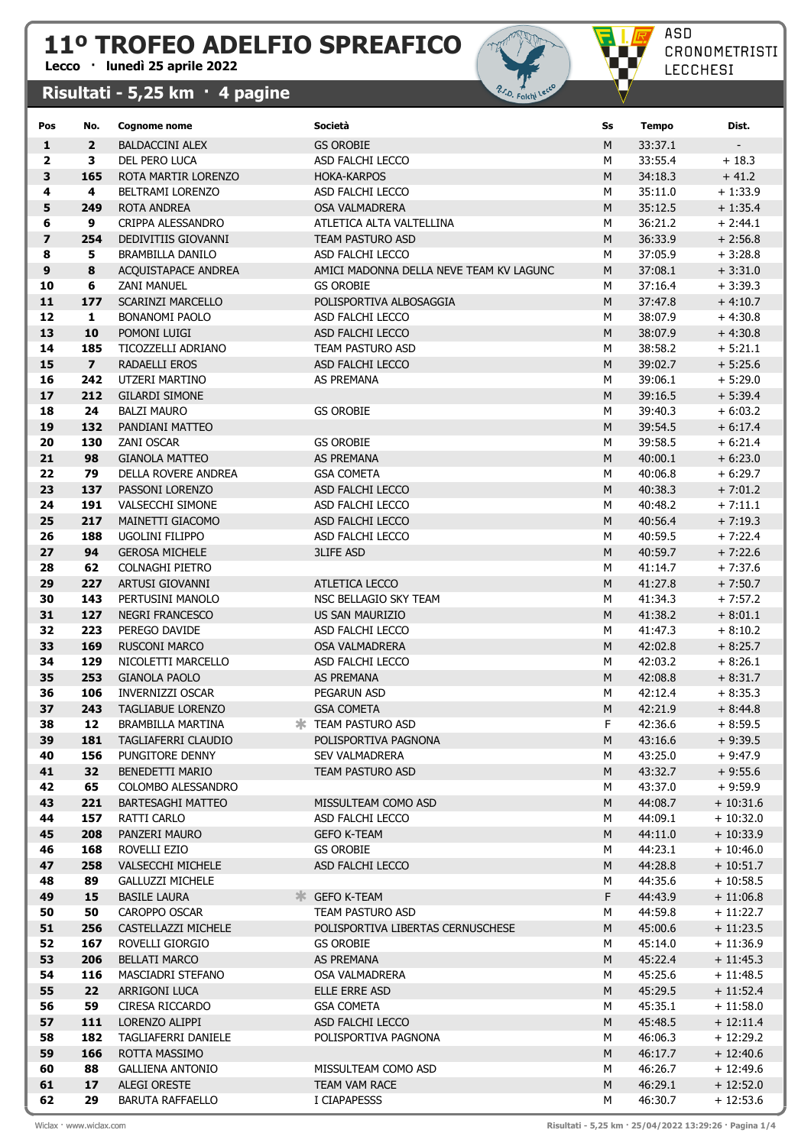## 11º TROFEO ADELFIO SPREAFICO

## Lecco · lunedì 25 aprile 2022

## Risultati - 5,25 km · 4 pagine



| Pos                     | No.                     | Cognome nome                            | Società                                   | Ss     | <b>Tempo</b>       | Dist.                    |
|-------------------------|-------------------------|-----------------------------------------|-------------------------------------------|--------|--------------------|--------------------------|
| $\mathbf{1}$            | $\overline{2}$          | <b>BALDACCINI ALEX</b>                  | <b>GS OROBIE</b>                          | M      | 33:37.1            |                          |
| $\overline{\mathbf{2}}$ | 3                       | DEL PERO LUCA                           | ASD FALCHI LECCO                          | M      | 33:55.4            | $+18.3$                  |
| $\overline{\mathbf{3}}$ | 165                     | ROTA MARTIR LORENZO                     | <b>HOKA-KARPOS</b>                        | M      | 34:18.3            | $+41.2$                  |
| 4                       | 4                       | <b>BELTRAMI LORENZO</b>                 | ASD FALCHI LECCO                          | м      | 35:11.0            | $+1:33.9$                |
| 5                       | 249                     | <b>ROTA ANDREA</b>                      | OSA VALMADRERA                            | M      | 35:12.5            | $+1:35.4$                |
| 6                       | 9                       | CRIPPA ALESSANDRO                       | ATLETICA ALTA VALTELLINA                  | м      | 36:21.2            | $+2:44.1$                |
| $\overline{ }$          | 254                     | DEDIVITIIS GIOVANNI                     | TEAM PASTURO ASD                          | M      | 36:33.9            | $+2:56.8$                |
| 8                       | 5                       | <b>BRAMBILLA DANILO</b>                 | ASD FALCHI LECCO                          | М      | 37:05.9            | $+3:28.8$                |
| 9                       | 8                       | ACQUISTAPACE ANDREA                     | AMICI MADONNA DELLA NEVE TEAM KV LAGUNC   | M      | 37:08.1            | $+3:31.0$                |
| 10                      | 6                       | <b>ZANI MANUEL</b>                      | <b>GS OROBIE</b>                          | М      | 37:16.4            | $+3:39.3$                |
| 11                      | 177                     | <b>SCARINZI MARCELLO</b>                | POLISPORTIVA ALBOSAGGIA                   | M      | 37:47.8            | $+4:10.7$                |
| 12                      | $\mathbf{1}$            | <b>BONANOMI PAOLO</b>                   | ASD FALCHI LECCO                          | М      | 38:07.9            | $+4:30.8$                |
| 13                      | 10                      | POMONI LUIGI                            | ASD FALCHI LECCO                          | M      | 38:07.9            | $+4:30.8$                |
| 14                      | 185                     | TICOZZELLI ADRIANO                      | TEAM PASTURO ASD                          | М      | 38:58.2            | $+ 5:21.1$               |
| 15                      | $\overline{\mathbf{z}}$ | RADAELLI EROS                           | ASD FALCHI LECCO                          | M      | 39:02.7            | $+5:25.6$                |
| 16<br>17                | 242<br>212              | UTZERI MARTINO<br><b>GILARDI SIMONE</b> | AS PREMANA                                | М<br>M | 39:06.1<br>39:16.5 | $+5:29.0$<br>$+ 5:39.4$  |
| 18                      | 24                      | <b>BALZI MAURO</b>                      | <b>GS OROBIE</b>                          | М      | 39:40.3            | $+6:03.2$                |
| 19                      | 132                     | PANDIANI MATTEO                         |                                           | M      | 39:54.5            | $+6:17.4$                |
| 20                      | 130                     | <b>ZANI OSCAR</b>                       | <b>GS OROBIE</b>                          | М      | 39:58.5            | $+6:21.4$                |
| 21                      | 98                      | <b>GIANOLA MATTEO</b>                   | AS PREMANA                                | M      | 40:00.1            | $+6:23.0$                |
| 22                      | 79                      | DELLA ROVERE ANDREA                     | <b>GSA COMETA</b>                         | М      | 40:06.8            | $+6:29.7$                |
| 23                      | 137                     | PASSONI LORENZO                         | ASD FALCHI LECCO                          | M      | 40:38.3            | $+7:01.2$                |
| 24                      | 191                     | <b>VALSECCHI SIMONE</b>                 | ASD FALCHI LECCO                          | М      | 40:48.2            | $+7:11.1$                |
| 25                      | 217                     | MAINETTI GIACOMO                        | ASD FALCHI LECCO                          | M      | 40:56.4            | $+7:19.3$                |
| 26                      | 188                     | <b>UGOLINI FILIPPO</b>                  | ASD FALCHI LECCO                          | М      | 40:59.5            | $+7:22.4$                |
| 27                      | 94                      | <b>GEROSA MICHELE</b>                   | <b>3LIFE ASD</b>                          | M      | 40:59.7            | $+7:22.6$                |
| 28                      | 62                      | COLNAGHI PIETRO                         |                                           | М      | 41:14.7            | $+7:37.6$                |
| 29                      | 227                     | ARTUSI GIOVANNI                         | ATLETICA LECCO                            | M      | 41:27.8            | $+7:50.7$                |
| 30                      | 143                     | PERTUSINI MANOLO                        | NSC BELLAGIO SKY TEAM                     | м      | 41:34.3            | $+7:57.2$                |
| 31                      | 127                     | <b>NEGRI FRANCESCO</b>                  | US SAN MAURIZIO                           | M      | 41:38.2            | $+8:01.1$                |
| 32                      | 223                     | PEREGO DAVIDE                           | ASD FALCHI LECCO                          | М      | 41:47.3            | $+8:10.2$                |
| 33                      | 169                     | <b>RUSCONI MARCO</b>                    | <b>OSA VALMADRERA</b>                     | M      | 42:02.8            | $+8:25.7$                |
| 34                      | 129                     | NICOLETTI MARCELLO                      | ASD FALCHI LECCO                          | М      | 42:03.2            | $+8:26.1$                |
| 35                      | 253                     | <b>GIANOLA PAOLO</b>                    | <b>AS PREMANA</b>                         | M      | 42:08.8            | $+8:31.7$                |
| 36                      | 106                     | <b>INVERNIZZI OSCAR</b>                 | PEGARUN ASD                               | М      | 42:12.4            | $+8:35.3$                |
| 37                      | 243                     | <b>TAGLIABUE LORENZO</b>                | <b>GSA COMETA</b>                         | M      | 42:21.9            | $+8:44.8$                |
| 38                      | 12                      | BRAMBILLA MARTINA                       | <b>* TEAM PASTURO ASD</b>                 | F      | 42:36.6            | $+8:59.5$                |
| 39                      | 181                     | TAGLIAFERRI CLAUDIO                     | POLISPORTIVA PAGNONA                      | M      | 43:16.6            | $+9:39.5$                |
| 40<br>41                | 156<br>32               | PUNGITORE DENNY<br>BENEDETTI MARIO      | <b>SEV VALMADRERA</b><br>TEAM PASTURO ASD | М<br>М | 43:25.0<br>43:32.7 | $+9:47.9$<br>$+9:55.6$   |
| 42                      | 65                      | COLOMBO ALESSANDRO                      |                                           | м      | 43:37.0            | $+9:59.9$                |
| 43                      | 221                     | <b>BARTESAGHI MATTEO</b>                | MISSULTEAM COMO ASD                       | Μ      | 44:08.7            | $+10:31.6$               |
| 44                      | 157                     | RATTI CARLO                             | ASD FALCHI LECCO                          | м      | 44:09.1            | $+10:32.0$               |
| 45                      | 208                     | PANZERI MAURO                           | <b>GEFO K-TEAM</b>                        | Μ      | 44:11.0            | $+10:33.9$               |
| 46                      | 168                     | ROVELLI EZIO                            | <b>GS OROBIE</b>                          | М      | 44:23.1            | $+10:46.0$               |
| 47                      | 258                     | VALSECCHI MICHELE                       | ASD FALCHI LECCO                          | Μ      | 44:28.8            | $+10:51.7$               |
| 48                      | 89                      | <b>GALLUZZI MICHELE</b>                 |                                           | м      | 44:35.6            | $+10:58.5$               |
| 49                      | 15                      | <b>BASILE LAURA</b>                     | <b>KINGLEY CONTROLLER</b>                 | F      | 44:43.9            | $+11:06.8$               |
| 50                      | 50                      | CAROPPO OSCAR                           | TEAM PASTURO ASD                          | М      | 44:59.8            | $+11:22.7$               |
| 51                      | 256                     | CASTELLAZZI MICHELE                     | POLISPORTIVA LIBERTAS CERNUSCHESE         | M      | 45:00.6            | $+11:23.5$               |
| 52                      | 167                     | ROVELLI GIORGIO                         | <b>GS OROBIE</b>                          | М      | 45:14.0            | $+11:36.9$               |
| 53                      | 206                     | BELLATI MARCO                           | AS PREMANA                                | Μ      | 45:22.4            | $+11:45.3$               |
| 54                      | 116                     | MASCIADRI STEFANO                       | OSA VALMADRERA                            | м      | 45:25.6            | $+11:48.5$               |
| 55                      | 22                      | ARRIGONI LUCA                           | ELLE ERRE ASD                             | Μ      | 45:29.5            | $+11:52.4$               |
| 56                      | 59                      | CIRESA RICCARDO                         | <b>GSA COMETA</b>                         | м      | 45:35.1            | $+11:58.0$               |
| 57                      | 111                     | LORENZO ALIPPI                          | ASD FALCHI LECCO                          | Μ      | 45:48.5            | $+12:11.4$               |
| 58                      | 182                     | TAGLIAFERRI DANIELE                     | POLISPORTIVA PAGNONA                      | М      | 46:06.3            | $+12:29.2$               |
| 59                      | 166                     | ROTTA MASSIMO                           |                                           | Μ      | 46:17.7            | $+12:40.6$               |
| 60                      | 88                      | <b>GALLIENA ANTONIO</b>                 | MISSULTEAM COMO ASD                       | м      | 46:26.7            | $+12:49.6$               |
| 61<br>62                | 17<br>29                | ALEGI ORESTE<br><b>BARUTA RAFFAELLO</b> | TEAM VAM RACE<br>I CIAPAPESSS             | М<br>М | 46:29.1<br>46:30.7 | $+12:52.0$<br>$+12:53.6$ |
|                         |                         |                                         |                                           |        |                    |                          |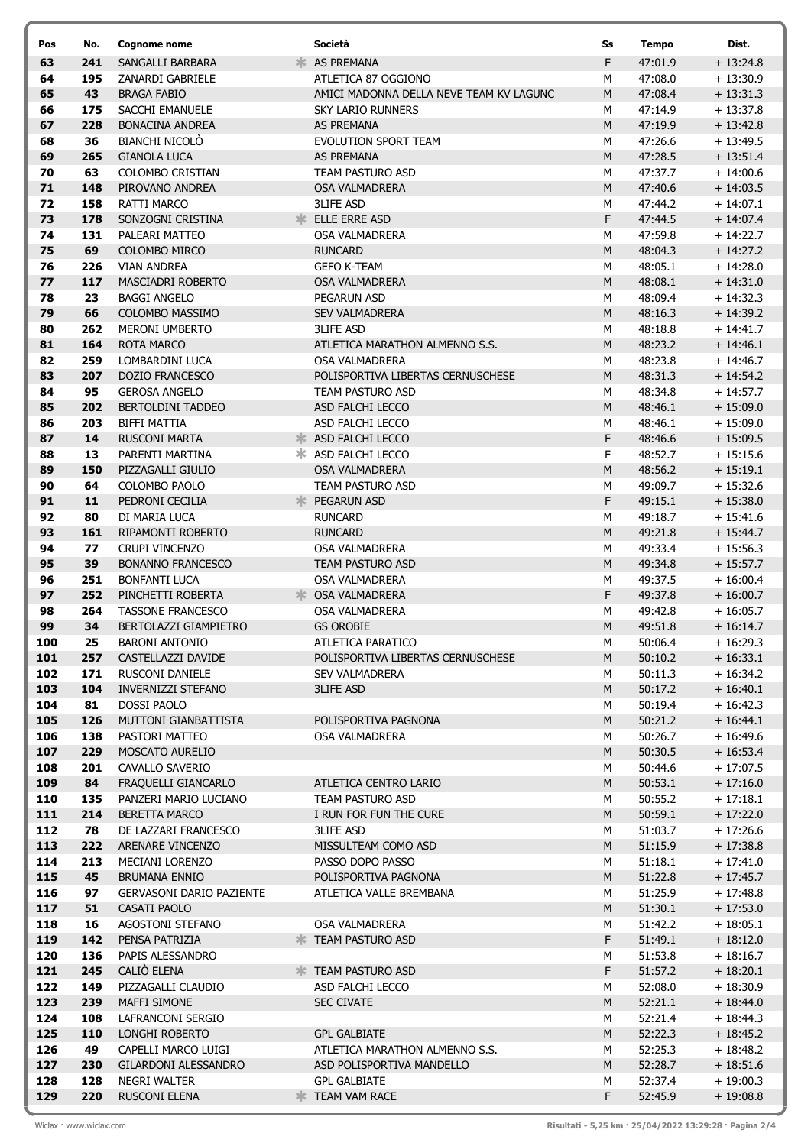| Pos        | No.        | <b>Cognome nome</b>                          |    | Società                                   | Ss        | <b>Tempo</b>       | Dist.                    |
|------------|------------|----------------------------------------------|----|-------------------------------------------|-----------|--------------------|--------------------------|
| 63         | 241        | SANGALLI BARBARA                             | Ж. | AS PREMANA                                | F         | 47:01.9            | $+13:24.8$               |
| 64         | 195        | ZANARDI GABRIELE                             |    | ATLETICA 87 OGGIONO                       | М         | 47:08.0            | $+13:30.9$               |
| 65         | 43         | <b>BRAGA FABIO</b>                           |    | AMICI MADONNA DELLA NEVE TEAM KV LAGUNC   | M         | 47:08.4            | $+13:31.3$               |
| 66         | 175        | SACCHI EMANUELE                              |    | <b>SKY LARIO RUNNERS</b>                  | М         | 47:14.9            | $+13:37.8$               |
| 67         | 228        | <b>BONACINA ANDREA</b>                       |    | <b>AS PREMANA</b>                         | M         | 47:19.9            | $+13:42.8$               |
| 68         | 36         | <b>BIANCHI NICOLO</b>                        |    | EVOLUTION SPORT TEAM                      | м         | 47:26.6            | $+13:49.5$               |
| 69         | 265        | <b>GIANOLA LUCA</b>                          |    | AS PREMANA                                | M         | 47:28.5            | $+13:51.4$               |
| 70         | 63         | COLOMBO CRISTIAN                             |    | TEAM PASTURO ASD                          | M         | 47:37.7            | $+14:00.6$               |
| 71         | 148        | PIROVANO ANDREA                              |    | <b>OSA VALMADRERA</b>                     | M         | 47:40.6            | $+14:03.5$               |
| 72         | 158        | RATTI MARCO                                  |    | <b>3LIFE ASD</b>                          | M         | 47:44.2            | $+14:07.1$               |
| 73         | 178        | SONZOGNI CRISTINA                            |    | <b>ELLE ERRE ASD</b>                      | F         | 47:44.5            | $+14:07.4$               |
| 74         | 131        | PALEARI MATTEO                               |    | <b>OSA VALMADRERA</b>                     | M         | 47:59.8            | $+14:22.7$               |
| 75         | 69         | COLOMBO MIRCO                                |    | <b>RUNCARD</b>                            | M         | 48:04.3            | $+14:27.2$               |
| 76<br>77   | 226<br>117 | <b>VIAN ANDREA</b><br>MASCIADRI ROBERTO      |    | <b>GEFO K-TEAM</b>                        | м<br>M    | 48:05.1            | $+14:28.0$               |
| 78         | 23         | <b>BAGGI ANGELO</b>                          |    | OSA VALMADRERA<br>PEGARUN ASD             | М         | 48:08.1<br>48:09.4 | $+14:31.0$<br>$+14:32.3$ |
| 79         | 66         | COLOMBO MASSIMO                              |    | <b>SEV VALMADRERA</b>                     | M         | 48:16.3            | $+14:39.2$               |
| 80         | 262        | <b>MERONI UMBERTO</b>                        |    | <b>3LIFE ASD</b>                          | М         | 48:18.8            | $+14:41.7$               |
| 81         | 164        | <b>ROTA MARCO</b>                            |    | ATLETICA MARATHON ALMENNO S.S.            | ${\sf M}$ | 48:23.2            | $+14:46.1$               |
| 82         | 259        | LOMBARDINI LUCA                              |    | <b>OSA VALMADRERA</b>                     | M         | 48:23.8            | $+14:46.7$               |
| 83         | 207        | <b>DOZIO FRANCESCO</b>                       |    | POLISPORTIVA LIBERTAS CERNUSCHESE         | M         | 48:31.3            | $+14:54.2$               |
| 84         | 95         | <b>GEROSA ANGELO</b>                         |    | TEAM PASTURO ASD                          | м         | 48:34.8            | $+14:57.7$               |
| 85         | 202        | <b>BERTOLDINI TADDEO</b>                     |    | ASD FALCHI LECCO                          | M         | 48:46.1            | $+15:09.0$               |
| 86         | 203        | <b>BIFFI MATTIA</b>                          |    | ASD FALCHI LECCO                          | М         | 48:46.1            | $+15:09.0$               |
| 87         | 14         | <b>RUSCONI MARTA</b>                         |    | <b>* ASD FALCHI LECCO</b>                 | F         | 48:46.6            | $+15:09.5$               |
| 88         | 13         | PARENTI MARTINA                              |    | * ASD FALCHI LECCO                        | F         | 48:52.7            | $+15:15.6$               |
| 89         | 150        | PIZZAGALLI GIULIO                            |    | <b>OSA VALMADRERA</b>                     | M         | 48:56.2            | $+15:19.1$               |
| 90         | 64         | COLOMBO PAOLO                                |    | TEAM PASTURO ASD                          | М         | 49:09.7            | $+15:32.6$               |
| 91         | 11         | PEDRONI CECILIA                              |    | <b>PEGARUN ASD</b>                        | F         | 49:15.1            | $+15:38.0$               |
| 92         | 80         | DI MARIA LUCA                                |    | <b>RUNCARD</b>                            | M         | 49:18.7            | $+15:41.6$               |
| 93         | 161        | RIPAMONTI ROBERTO                            |    | <b>RUNCARD</b>                            | M         | 49:21.8            | $+15:44.7$               |
| 94         | 77         | CRUPI VINCENZO                               |    | OSA VALMADRERA                            | M         | 49:33.4            | $+15:56.3$               |
| 95         | 39         | <b>BONANNO FRANCESCO</b>                     |    | <b>TEAM PASTURO ASD</b>                   | M         | 49:34.8            | $+15:57.7$               |
| 96         | 251        | <b>BONFANTI LUCA</b>                         |    | OSA VALMADRERA                            | M         | 49:37.5            | $+16:00.4$               |
| 97         | 252        | PINCHETTI ROBERTA                            |    | CSA VALMADRERA                            | F         | 49:37.8            | $+16:00.7$               |
| 98         | 264        | <b>TASSONE FRANCESCO</b>                     |    | OSA VALMADRERA                            | M         | 49:42.8            | $+16:05.7$               |
| 99         | 34         | BERTOLAZZI GIAMPIETRO                        |    | <b>GS OROBIE</b>                          | ${\sf M}$ | 49:51.8            | $+16:14.7$               |
| 100        | 25         | <b>BARONI ANTONIO</b>                        |    | ATLETICA PARATICO                         | м         | 50:06.4            | $+16:29.3$               |
| 101<br>102 | 257        | CASTELLAZZI DAVIDE<br><b>RUSCONI DANIELE</b> |    | POLISPORTIVA LIBERTAS CERNUSCHESE         | M         | 50:10.2            | $+16:33.1$               |
| 103        | 171<br>104 | <b>INVERNIZZI STEFANO</b>                    |    | <b>SEV VALMADRERA</b><br><b>3LIFE ASD</b> | м<br>M    | 50:11.3<br>50:17.2 | $+16:34.2$<br>$+16:40.1$ |
| 104        | 81         | DOSSI PAOLO                                  |    |                                           | м         | 50:19.4            | $+16:42.3$               |
| 105        | 126        | MUTTONI GIANBATTISTA                         |    | POLISPORTIVA PAGNONA                      | M         | 50:21.2            | $+16:44.1$               |
| 106        | 138        | PASTORI MATTEO                               |    | <b>OSA VALMADRERA</b>                     | М         | 50:26.7            | $+16:49.6$               |
| 107        | 229        | MOSCATO AURELIO                              |    |                                           | M         | 50:30.5            | $+16:53.4$               |
| 108        | 201        | CAVALLO SAVERIO                              |    |                                           | М         | 50:44.6            | $+17:07.5$               |
| 109        | 84         | FRAQUELLI GIANCARLO                          |    | ATLETICA CENTRO LARIO                     | M         | 50:53.1            | $+17:16.0$               |
| 110        | 135        | PANZERI MARIO LUCIANO                        |    | TEAM PASTURO ASD                          | М         | 50:55.2            | $+17:18.1$               |
| 111        | 214        | <b>BERETTA MARCO</b>                         |    | I RUN FOR FUN THE CURE                    | M         | 50:59.1            | $+17:22.0$               |
| 112        | 78         | DE LAZZARI FRANCESCO                         |    | <b>3LIFE ASD</b>                          | М         | 51:03.7            | $+17:26.6$               |
| 113        | 222        | ARENARE VINCENZO                             |    | MISSULTEAM COMO ASD                       | M         | 51:15.9            | $+17:38.8$               |
| 114        | 213        | MECIANI LORENZO                              |    | PASSO DOPO PASSO                          | м         | 51:18.1            | $+17:41.0$               |
| 115        | 45         | <b>BRUMANA ENNIO</b>                         |    | POLISPORTIVA PAGNONA                      | M         | 51:22.8            | $+17:45.7$               |
| 116        | 97         | <b>GERVASONI DARIO PAZIENTE</b>              |    | ATLETICA VALLE BREMBANA                   | М         | 51:25.9            | $+17:48.8$               |
| 117        | 51         | CASATI PAOLO                                 |    |                                           | M         | 51:30.1            | $+17:53.0$               |
| 118        | 16         | AGOSTONI STEFANO                             |    | OSA VALMADRERA                            | М         | 51:42.2            | $+18:05.1$               |
| 119        | 142        | PENSA PATRIZIA                               |    | <b>EXAMPASTURO ASD</b>                    | F         | 51:49.1            | $+18:12.0$               |
| 120        | 136<br>245 | PAPIS ALESSANDRO<br>CALIÒ ELENA              |    | <b>EXAMPASTURO ASD</b>                    | М<br>F    | 51:53.8            | $+18:16.7$               |
| 121<br>122 | 149        | PIZZAGALLI CLAUDIO                           |    | ASD FALCHI LECCO                          | М         | 51:57.2<br>52:08.0 | $+18:20.1$<br>$+18:30.9$ |
| 123        | 239        | MAFFI SIMONE                                 |    | <b>SEC CIVATE</b>                         | M         | 52:21.1            | $+18:44.0$               |
| 124        | 108        | LAFRANCONI SERGIO                            |    |                                           | М         | 52:21.4            | $+18:44.3$               |
| 125        | 110        | LONGHI ROBERTO                               |    | <b>GPL GALBIATE</b>                       | M         | 52:22.3            | $+18:45.2$               |
| 126        | 49         | CAPELLI MARCO LUIGI                          |    | ATLETICA MARATHON ALMENNO S.S.            | м         | 52:25.3            | $+18:48.2$               |
| 127        | 230        | <b>GILARDONI ALESSANDRO</b>                  |    | ASD POLISPORTIVA MANDELLO                 | M         | 52:28.7            | $+18:51.6$               |
| 128        | 128        | NEGRI WALTER                                 |    | <b>GPL GALBIATE</b>                       | М         | 52:37.4            | $+19:00.3$               |
| 129        | 220        | <b>RUSCONI ELENA</b>                         |    | <b>* TEAM VAM RACE</b>                    | F         | 52:45.9            | $+19:08.8$               |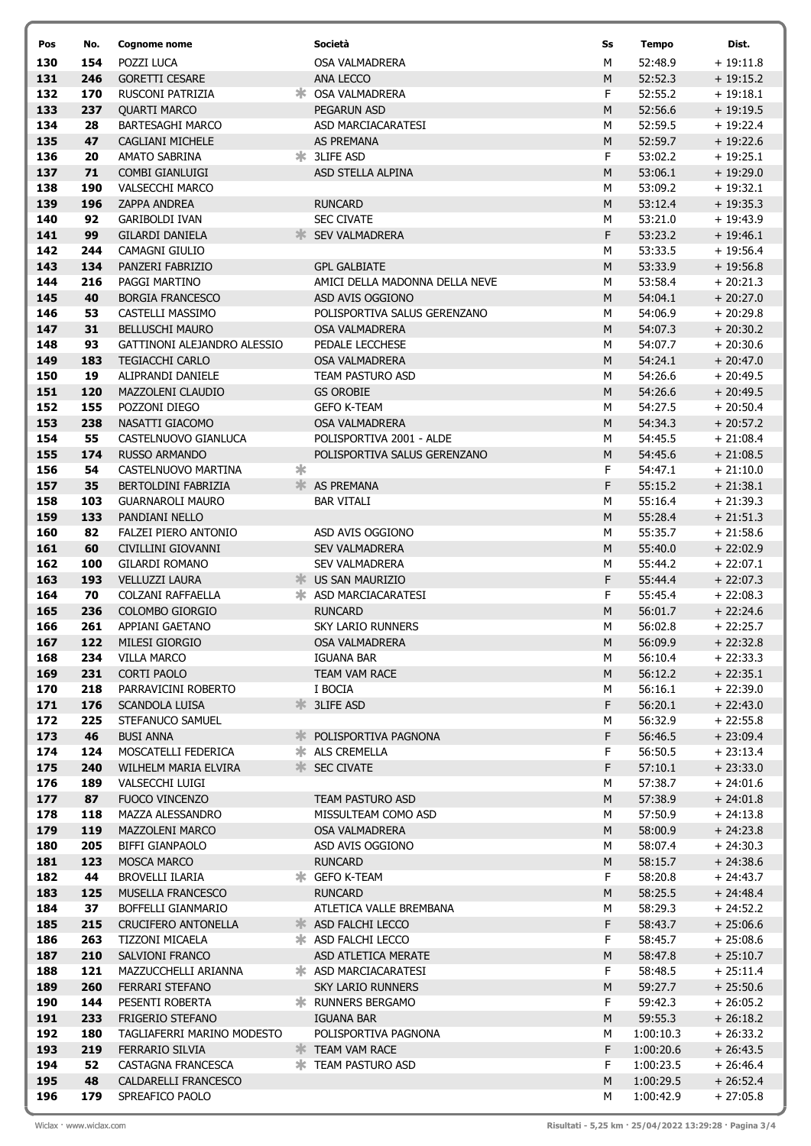| Pos        | No.        | Cognome nome                              |   | Società                                    | Ss             | <b>Tempo</b>       | Dist.                     |  |
|------------|------------|-------------------------------------------|---|--------------------------------------------|----------------|--------------------|---------------------------|--|
| 130        | 154        | POZZI LUCA                                |   | OSA VALMADRERA                             | М              | 52:48.9            | $+19:11.8$                |  |
| 131        | 246        | <b>GORETTI CESARE</b>                     |   | ANA LECCO                                  | M              | 52:52.3            | $+19:15.2$                |  |
| 132        | 170        | RUSCONI PATRIZIA                          |   | <b>* OSA VALMADRERA</b>                    | F              | 52:55.2            | $+19:18.1$                |  |
| 133        | 237        | <b>QUARTI MARCO</b>                       |   | <b>PEGARUN ASD</b>                         | M              | 52:56.6            | $+19:19.5$                |  |
| 134        | 28         | <b>BARTESAGHI MARCO</b>                   |   | ASD MARCIACARATESI                         | M              | 52:59.5            | $+19:22.4$                |  |
| 135        | 47         | <b>CAGLIANI MICHELE</b>                   |   | <b>AS PREMANA</b>                          | M              | 52:59.7            | $+19:22.6$                |  |
| 136        | 20         | <b>AMATO SABRINA</b>                      |   | * 3LIFE ASD                                | F              | 53:02.2            | $+19:25.1$                |  |
| 137        | 71         | COMBI GIANLUIGI<br><b>VALSECCHI MARCO</b> |   | ASD STELLA ALPINA                          | M              | 53:06.1            | $+19:29.0$<br>$+19:32.1$  |  |
| 138<br>139 | 190<br>196 | <b>ZAPPA ANDREA</b>                       |   | <b>RUNCARD</b>                             | M<br>${\sf M}$ | 53:09.2<br>53:12.4 | $+19:35.3$                |  |
| 140        | 92         | <b>GARIBOLDI IVAN</b>                     |   | <b>SEC CIVATE</b>                          | M              | 53:21.0            | $+19:43.9$                |  |
| 141        | 99         | <b>GILARDI DANIELA</b>                    |   | <b>SEV VALMADRERA</b>                      | F              | 53:23.2            | $+19:46.1$                |  |
| 142        | 244        | CAMAGNI GIULIO                            |   |                                            | М              | 53:33.5            | $+19:56.4$                |  |
| 143        | 134        | PANZERI FABRIZIO                          |   | <b>GPL GALBIATE</b>                        | M              | 53:33.9            | $+19:56.8$                |  |
| 144        | 216        | PAGGI MARTINO                             |   | AMICI DELLA MADONNA DELLA NEVE             | М              | 53:58.4            | $+20:21.3$                |  |
| 145        | 40         | <b>BORGIA FRANCESCO</b>                   |   | ASD AVIS OGGIONO                           | ${\sf M}$      | 54:04.1            | $+20:27.0$                |  |
| 146        | 53         | CASTELLI MASSIMO                          |   | POLISPORTIVA SALUS GERENZANO               | M              | 54:06.9            | $+20:29.8$                |  |
| 147        | 31         | <b>BELLUSCHI MAURO</b>                    |   | OSA VALMADRERA                             | M              | 54:07.3            | $+20:30.2$                |  |
| 148        | 93         | GATTINONI ALEJANDRO ALESSIO               |   | PEDALE LECCHESE                            | М              | 54:07.7            | $+20:30.6$                |  |
| 149        | 183        | <b>TEGIACCHI CARLO</b>                    |   | OSA VALMADRERA                             | M              | 54:24.1            | $+20:47.0$                |  |
| 150        | 19         | ALIPRANDI DANIELE                         |   | TEAM PASTURO ASD                           | М              | 54:26.6            | $+20:49.5$                |  |
| 151        | 120        | MAZZOLENI CLAUDIO                         |   | <b>GS OROBIE</b>                           | ${\sf M}$      | 54:26.6            | $+20:49.5$                |  |
| 152        | 155        | POZZONI DIEGO                             |   | <b>GEFO K-TEAM</b>                         | M              | 54:27.5            | $+20:50.4$<br>$+20:57.2$  |  |
| 153<br>154 | 238<br>55  | NASATTI GIACOMO<br>CASTELNUOVO GIANLUCA   |   | OSA VALMADRERA<br>POLISPORTIVA 2001 - ALDE | M<br>M         | 54:34.3<br>54:45.5 | $+21:08.4$                |  |
| 155        | 174        | <b>RUSSO ARMANDO</b>                      |   | POLISPORTIVA SALUS GERENZANO               | M              | 54:45.6            | $+21:08.5$                |  |
| 156        | 54         | CASTELNUOVO MARTINA                       | * |                                            | F              | 54:47.1            | $+21:10.0$                |  |
| 157        | 35         | BERTOLDINI FABRIZIA                       |   | <b>K</b> AS PREMANA                        | F              | 55:15.2            | $+21:38.1$                |  |
| 158        | 103        | <b>GUARNAROLI MAURO</b>                   |   | <b>BAR VITALI</b>                          | M              | 55:16.4            | $+21:39.3$                |  |
| 159        | 133        | PANDIANI NELLO                            |   |                                            | M              | 55:28.4            | $+21:51.3$                |  |
| 160        | 82         | FALZEI PIERO ANTONIO                      |   | ASD AVIS OGGIONO                           | М              | 55:35.7            | $+21:58.6$                |  |
| 161        | 60         | CIVILLINI GIOVANNI                        |   | <b>SEV VALMADRERA</b>                      | M              | 55:40.0            | $+22:02.9$                |  |
| 162        | 100        | <b>GILARDI ROMANO</b>                     |   | <b>SEV VALMADRERA</b>                      | M              | 55:44.2            | $+22:07.1$                |  |
| 163        | 193        | <b>VELLUZZI LAURA</b>                     |   | <b>WE US SAN MAURIZIO</b>                  | F              | 55:44.4            | $+22:07.3$                |  |
| 164        | 70         | COLZANI RAFFAELLA                         |   | * ASD MARCIACARATESI                       | F              | 55:45.4            | $+22:08.3$                |  |
| 165        | 236        | COLOMBO GIORGIO                           |   | <b>RUNCARD</b>                             | M              | 56:01.7            | $+22:24.6$                |  |
| 166        | 261        | APPIANI GAETANO                           |   | <b>SKY LARIO RUNNERS</b>                   | М              | 56:02.8            | $+22:25.7$                |  |
| 167        | 122        | MILESI GIORGIO                            |   | <b>OSA VALMADRERA</b>                      | M              | 56:09.9            | $+22:32.8$                |  |
| 168<br>169 | 234<br>231 | <b>VILLA MARCO</b><br><b>CORTI PAOLO</b>  |   | <b>IGUANA BAR</b><br>TEAM VAM RACE         | M<br>M         | 56:10.4<br>56:12.2 | $+22:33.3$<br>$+22:35.1$  |  |
| 170        | 218        | PARRAVICINI ROBERTO                       |   | I BOCIA                                    | М              | 56:16.1            | $+22:39.0$                |  |
| 171        | 176        | <b>SCANDOLA LUISA</b>                     |   | <b>*</b> 3LIFE ASD                         | F              | 56:20.1            | $+22:43.0$                |  |
| 172        | 225        | STEFANUCO SAMUEL                          |   |                                            | М              | 56:32.9            | $+22:55.8$                |  |
| 173        | 46         | <b>BUSI ANNA</b>                          |   | POLISPORTIVA PAGNONA                       | F              | 56:46.5            | $+23:09.4$                |  |
| 174        | 124        | MOSCATELLI FEDERICA                       |   | <b>*</b> ALS CREMELLA                      | F              | 56:50.5            | $+23:13.4$                |  |
| 175        | 240        | WILHELM MARIA ELVIRA                      |   | <b>SEC CIVATE</b>                          | F              | 57:10.1            | $+23:33.0$                |  |
| 176        | 189        | VALSECCHI LUIGI                           |   |                                            | М              | 57:38.7            | $+24:01.6$                |  |
| 177        | 87         | FUOCO VINCENZO                            |   | TEAM PASTURO ASD                           | ${\sf M}$      | 57:38.9            | $+24:01.8$                |  |
| 178        | 118        | MAZZA ALESSANDRO                          |   | MISSULTEAM COMO ASD                        | M              | 57:50.9            | $+24:13.8$                |  |
| 179        | 119        | MAZZOLENI MARCO                           |   | OSA VALMADRERA                             | ${\sf M}$      | 58:00.9            | $+24:23.8$                |  |
| 180        | 205        | BIFFI GIANPAOLO                           |   | ASD AVIS OGGIONO                           | М              | 58:07.4            | $+24:30.3$                |  |
| 181        | 123        | MOSCA MARCO                               |   | <b>RUNCARD</b>                             | ${\sf M}$      | 58:15.7            | $+24:38.6$                |  |
| 182<br>183 | 44<br>125  | BROVELLI ILARIA<br>MUSELLA FRANCESCO      |   | * GEFO K-TEAM<br><b>RUNCARD</b>            | F<br>${\sf M}$ | 58:20.8<br>58:25.5 | $+ 24:43.7$               |  |
| 184        | 37         | BOFFELLI GIANMARIO                        |   | ATLETICA VALLE BREMBANA                    | М              | 58:29.3            | $+ 24:48.4$<br>$+24:52.2$ |  |
| 185        | 215        | <b>CRUCIFERO ANTONELLA</b>                |   | <b>* ASD FALCHI LECCO</b>                  | F              | 58:43.7            | $+25:06.6$                |  |
| 186        | 263        | TIZZONI MICAELA                           |   | * ASD FALCHI LECCO                         | F              | 58:45.7            | $+25:08.6$                |  |
| 187        | 210        | SALVIONI FRANCO                           |   | ASD ATLETICA MERATE                        | M              | 58:47.8            | $+25:10.7$                |  |
| 188        | 121        | MAZZUCCHELLI ARIANNA                      |   | * ASD MARCIACARATESI                       | F              | 58:48.5            | $+25:11.4$                |  |
| 189        | 260        | FERRARI STEFANO                           |   | <b>SKY LARIO RUNNERS</b>                   | M              | 59:27.7            | $+25:50.6$                |  |
| 190        | 144        | PESENTI ROBERTA                           |   | <b><del></del></b> RUNNERS BERGAMO         | F              | 59:42.3            | $+26:05.2$                |  |
| 191        | 233        | FRIGERIO STEFANO                          |   | <b>IGUANA BAR</b>                          | ${\sf M}$      | 59:55.3            | $+26:18.2$                |  |
| 192        | 180        | TAGLIAFERRI MARINO MODESTO                |   | POLISPORTIVA PAGNONA                       | M              | 1:00:10.3          | $+26:33.2$                |  |
| 193        | 219        | FERRARIO SILVIA                           |   | <b>EXAM VAM RACE</b>                       | F              | 1:00:20.6          | $+26:43.5$                |  |
| 194        | 52         | CASTAGNA FRANCESCA                        |   | <b>* TEAM PASTURO ASD</b>                  | F.             | 1:00:23.5          | $+26:46.4$                |  |
| 195        | 48         | CALDARELLI FRANCESCO                      |   |                                            | ${\sf M}$      | 1:00:29.5          | $+26:52.4$                |  |
| 196        | 179        | SPREAFICO PAOLO                           |   |                                            | М              | 1:00:42.9          | $+27:05.8$                |  |